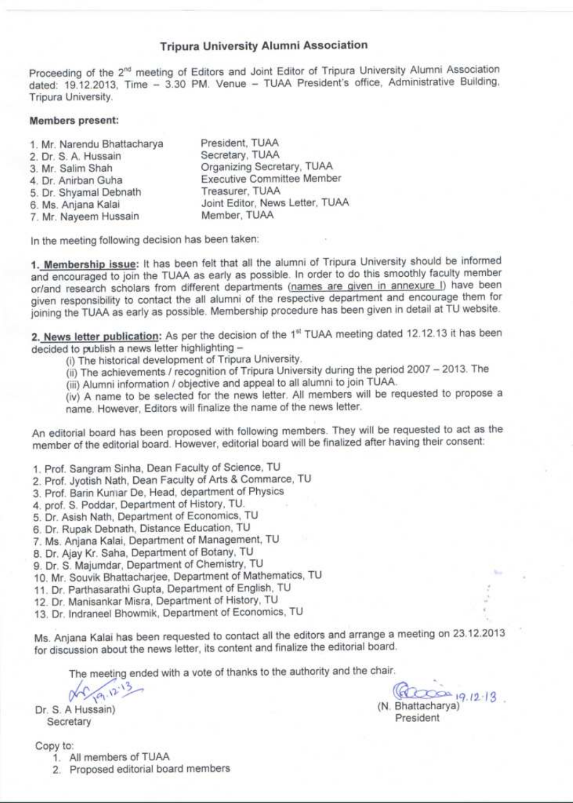## **Tripura University Alumni Association**

Proceeding of the 2<sup>nd</sup> meeting of Editors and Joint Editor of Tripura University Alumni Association dated: 19.12.2013, Time - 3.30 PM. Venue - TUAA President's office, Administrative Building, Tripura University.

## Members present:

| 1. Mr. Narendu Bhattacharya | President, TUAA                   |
|-----------------------------|-----------------------------------|
| 2. Dr. S. A. Hussain        | Secretary, TUAA                   |
| 3. Mr. Salim Shah           | Organizing Secretary, TUAA        |
| 4. Dr. Anirban Guha         | <b>Executive Committee Member</b> |
| 5. Dr. Shyamal Debnath      | Treasurer, TUAA                   |
| 6. Ms. Anjana Kalai         | Joint Editor, News Letter, TUAA   |
| 7. Mr. Nayeem Hussain       | Member, TUAA                      |
|                             |                                   |

In the meeting following decision has been taken:

1. Membership issue: It has been felt that all the alumni of Tripura University should be informed and encouraged to join the TUAA as early as possible. In order to do this smoothly faculty member or/and research scholars from different departments (names are given in annexure I) have been given responsibility to contact the all alumni of the respective department and encourage them for joining the TUAA as early as possible. Membership procedure has been given in detail at TU website.

2. News letter publication: As per the decision of the 1<sup>st</sup> TUAA meeting dated 12.12.13 it has been decided to publish a news letter highlighting -

(i) The historical development of Tripura University.

(ii) The achievements / recognition of Tripura University during the period 2007 - 2013. The

(iii) Alumni information / objective and appeal to all alumni to join TUAA.

(iv) A name to be selected for the news letter. All members will be requested to propose a name. However, Editors will finalize the name of the news letter.

An editorial board has been proposed with following members. They will be requested to act as the member of the editorial board. However, editorial board will be finalized after having their consent:

1. Prof. Sangram Sinha, Dean Faculty of Science, TU

2. Prof. Jyotish Nath, Dean Faculty of Arts & Commarce, TU

3. Prof. Barin Kuniar De, Head, department of Physics

4. prof. S. Poddar, Department of History, TU.

5. Dr. Asish Nath, Department of Economics, TU

6. Dr. Rupak Debnath, Distance Education, TU

7. Ms. Anjana Kalai, Department of Management, TU

8. Dr. Ajay Kr. Saha, Department of Botany, TU

9. Dr. S. Majumdar, Department of Chemistry, TU

10. Mr. Souvik Bhattacharjee, Department of Mathematics, TU

11. Dr. Parthasarathi Gupta, Department of English, TU

12. Dr. Manisankar Misra, Department of History, TU

13. Dr. Indraneel Bhowmik, Department of Economics, TU

Ms. Anjana Kalai has been requested to contact all the editors and arrange a meeting on 23.12.2013 for discussion about the news letter, its content and finalize the editorial board.

The meeting ended with a vote of thanks to the authority and the chair.

 $9.12^{13}$ 

Dr. S. A Hussain) Secretary

Copy to:

1. All members of TUAA

2. Proposed editorial board members

 $20 - 19.12 - 13$ (N. Bhattacharya) President